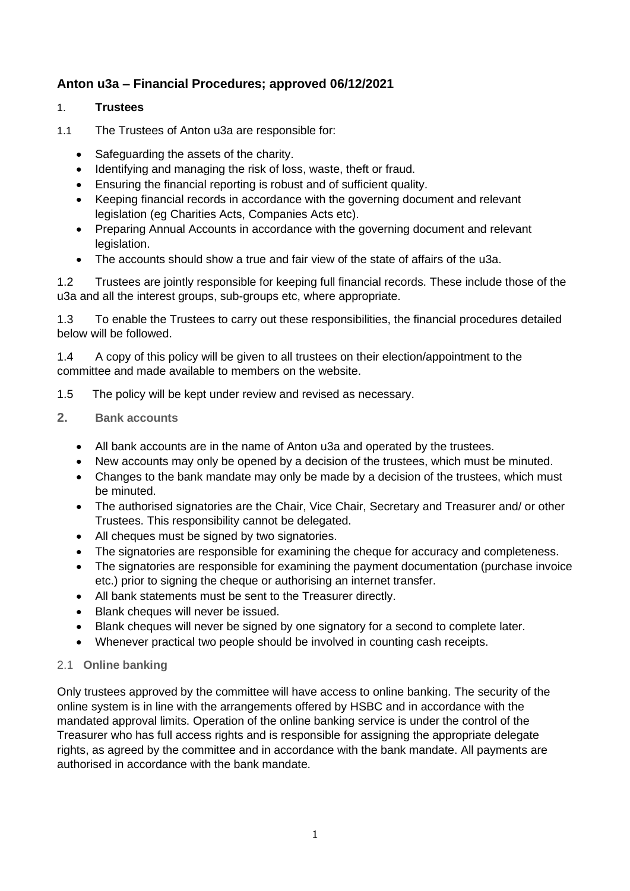# **Anton u3a – Financial Procedures; approved 06/12/2021**

# 1. **Trustees**

- 1.1 The Trustees of Anton u3a are responsible for:
	- Safeguarding the assets of the charity.
	- Identifying and managing the risk of loss, waste, theft or fraud.
	- Ensuring the financial reporting is robust and of sufficient quality.
	- Keeping financial records in accordance with the governing document and relevant legislation (eg Charities Acts, Companies Acts etc).
	- Preparing Annual Accounts in accordance with the governing document and relevant legislation.
	- The accounts should show a true and fair view of the state of affairs of the u3a.

1.2 Trustees are jointly responsible for keeping full financial records. These include those of the u3a and all the interest groups, sub-groups etc, where appropriate.

1.3 To enable the Trustees to carry out these responsibilities, the financial procedures detailed below will be followed.

1.4 A copy of this policy will be given to all trustees on their election/appointment to the committee and made available to members on the website.

- 1.5 The policy will be kept under review and revised as necessary.
- **2. Bank accounts**
	- All bank accounts are in the name of Anton u3a and operated by the trustees.
	- New accounts may only be opened by a decision of the trustees, which must be minuted.
	- Changes to the bank mandate may only be made by a decision of the trustees, which must be minuted.
	- The authorised signatories are the Chair, Vice Chair, Secretary and Treasurer and/ or other Trustees. This responsibility cannot be delegated.
	- All cheques must be signed by two signatories.
	- The signatories are responsible for examining the cheque for accuracy and completeness.
	- The signatories are responsible for examining the payment documentation (purchase invoice etc.) prior to signing the cheque or authorising an internet transfer.
	- All bank statements must be sent to the Treasurer directly.
	- Blank cheques will never be issued.
	- Blank cheques will never be signed by one signatory for a second to complete later.
	- Whenever practical two people should be involved in counting cash receipts.

#### 2.1 **Online banking**

Only trustees approved by the committee will have access to online banking. The security of the online system is in line with the arrangements offered by HSBC and in accordance with the mandated approval limits. Operation of the online banking service is under the control of the Treasurer who has full access rights and is responsible for assigning the appropriate delegate rights, as agreed by the committee and in accordance with the bank mandate. All payments are authorised in accordance with the bank mandate.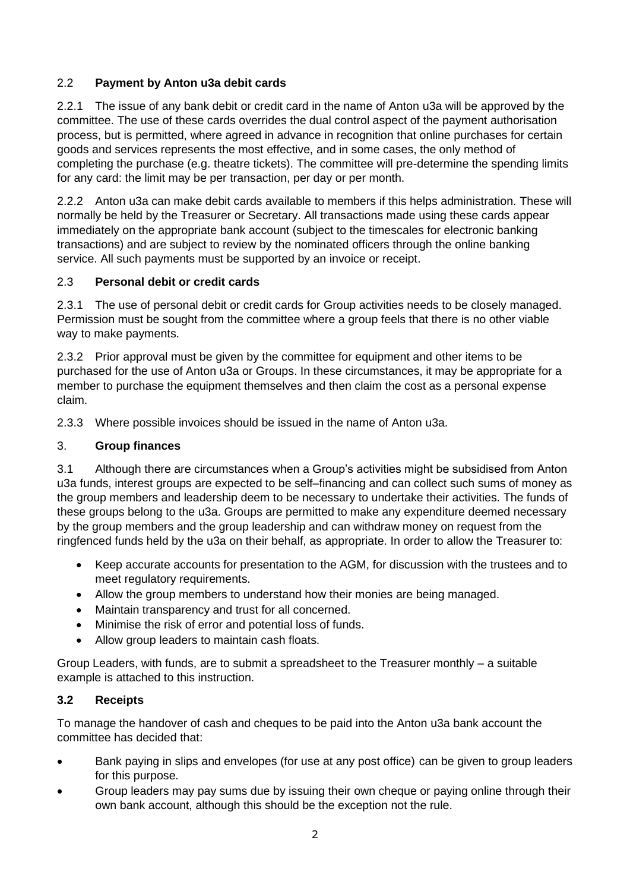# 2.2 **Payment by Anton u3a debit cards**

2.2.1 The issue of any bank debit or credit card in the name of Anton u3a will be approved by the committee. The use of these cards overrides the dual control aspect of the payment authorisation process, but is permitted, where agreed in advance in recognition that online purchases for certain goods and services represents the most effective, and in some cases, the only method of completing the purchase (e.g. theatre tickets). The committee will pre-determine the spending limits for any card: the limit may be per transaction, per day or per month.

2.2.2 Anton u3a can make debit cards available to members if this helps administration. These will normally be held by the Treasurer or Secretary. All transactions made using these cards appear immediately on the appropriate bank account (subject to the timescales for electronic banking transactions) and are subject to review by the nominated officers through the online banking service. All such payments must be supported by an invoice or receipt.

# 2.3 **Personal debit or credit cards**

2.3.1 The use of personal debit or credit cards for Group activities needs to be closely managed. Permission must be sought from the committee where a group feels that there is no other viable way to make payments.

2.3.2 Prior approval must be given by the committee for equipment and other items to be purchased for the use of Anton u3a or Groups. In these circumstances, it may be appropriate for a member to purchase the equipment themselves and then claim the cost as a personal expense claim.

2.3.3 Where possible invoices should be issued in the name of Anton u3a.

# 3. **Group finances**

3.1 Although there are circumstances when a Group's activities might be subsidised from Anton u3a funds, interest groups are expected to be self–financing and can collect such sums of money as the group members and leadership deem to be necessary to undertake their activities. The funds of these groups belong to the u3a. Groups are permitted to make any expenditure deemed necessary by the group members and the group leadership and can withdraw money on request from the ringfenced funds held by the u3a on their behalf, as appropriate. In order to allow the Treasurer to:

- Keep accurate accounts for presentation to the AGM, for discussion with the trustees and to meet regulatory requirements.
- Allow the group members to understand how their monies are being managed.
- Maintain transparency and trust for all concerned.
- Minimise the risk of error and potential loss of funds.
- Allow group leaders to maintain cash floats.

Group Leaders, with funds, are to submit a spreadsheet to the Treasurer monthly – a suitable example is attached to this instruction.

# **3.2 Receipts**

To manage the handover of cash and cheques to be paid into the Anton u3a bank account the committee has decided that:

- Bank paying in slips and envelopes (for use at any post office) can be given to group leaders for this purpose.
- Group leaders may pay sums due by issuing their own cheque or paying online through their own bank account, although this should be the exception not the rule.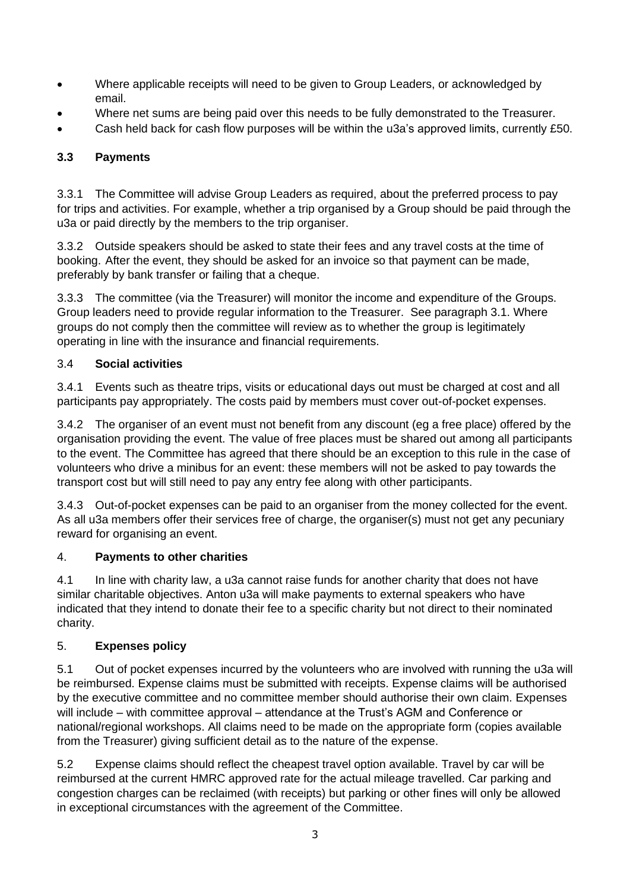- Where applicable receipts will need to be given to Group Leaders, or acknowledged by email.
- Where net sums are being paid over this needs to be fully demonstrated to the Treasurer.
- Cash held back for cash flow purposes will be within the u3a's approved limits, currently £50.

# **3.3 Payments**

3.3.1 The Committee will advise Group Leaders as required, about the preferred process to pay for trips and activities. For example, whether a trip organised by a Group should be paid through the u3a or paid directly by the members to the trip organiser.

3.3.2 Outside speakers should be asked to state their fees and any travel costs at the time of booking. After the event, they should be asked for an invoice so that payment can be made, preferably by bank transfer or failing that a cheque.

3.3.3 The committee (via the Treasurer) will monitor the income and expenditure of the Groups. Group leaders need to provide regular information to the Treasurer. See paragraph 3.1. Where groups do not comply then the committee will review as to whether the group is legitimately operating in line with the insurance and financial requirements.

# 3.4 **Social activities**

3.4.1 Events such as theatre trips, visits or educational days out must be charged at cost and all participants pay appropriately. The costs paid by members must cover out-of-pocket expenses.

3.4.2 The organiser of an event must not benefit from any discount (eg a free place) offered by the organisation providing the event. The value of free places must be shared out among all participants to the event. The Committee has agreed that there should be an exception to this rule in the case of volunteers who drive a minibus for an event: these members will not be asked to pay towards the transport cost but will still need to pay any entry fee along with other participants.

3.4.3 Out-of-pocket expenses can be paid to an organiser from the money collected for the event. As all u3a members offer their services free of charge, the organiser(s) must not get any pecuniary reward for organising an event.

# 4. **Payments to other charities**

4.1 In line with charity law, a u3a cannot raise funds for another charity that does not have similar charitable objectives. Anton u3a will make payments to external speakers who have indicated that they intend to donate their fee to a specific charity but not direct to their nominated charity.

# 5. **Expenses policy**

5.1 Out of pocket expenses incurred by the volunteers who are involved with running the u3a will be reimbursed. Expense claims must be submitted with receipts. Expense claims will be authorised by the executive committee and no committee member should authorise their own claim. Expenses will include – with committee approval – attendance at the Trust's AGM and Conference or national/regional workshops. All claims need to be made on the appropriate form (copies available from the Treasurer) giving sufficient detail as to the nature of the expense.

5.2 Expense claims should reflect the cheapest travel option available. Travel by car will be reimbursed at the current HMRC approved rate for the actual mileage travelled. Car parking and congestion charges can be reclaimed (with receipts) but parking or other fines will only be allowed in exceptional circumstances with the agreement of the Committee.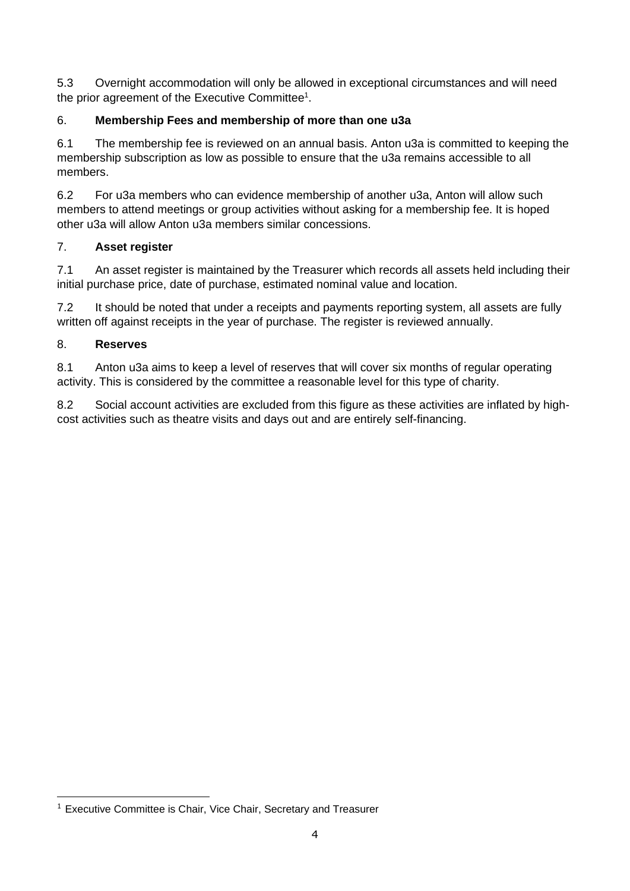5.3 Overnight accommodation will only be allowed in exceptional circumstances and will need the prior agreement of the Executive Committee<sup>1</sup>.

# 6. **Membership Fees and membership of more than one u3a**

6.1 The membership fee is reviewed on an annual basis. Anton u3a is committed to keeping the membership subscription as low as possible to ensure that the u3a remains accessible to all members.

6.2 For u3a members who can evidence membership of another u3a, Anton will allow such members to attend meetings or group activities without asking for a membership fee. It is hoped other u3a will allow Anton u3a members similar concessions.

# 7. **Asset register**

7.1 An asset register is maintained by the Treasurer which records all assets held including their initial purchase price, date of purchase, estimated nominal value and location.

7.2 It should be noted that under a receipts and payments reporting system, all assets are fully written off against receipts in the year of purchase. The register is reviewed annually.

### 8. **Reserves**

8.1 Anton u3a aims to keep a level of reserves that will cover six months of regular operating activity. This is considered by the committee a reasonable level for this type of charity.

8.2 Social account activities are excluded from this figure as these activities are inflated by highcost activities such as theatre visits and days out and are entirely self-financing.

<sup>&</sup>lt;sup>1</sup> Executive Committee is Chair, Vice Chair, Secretary and Treasurer